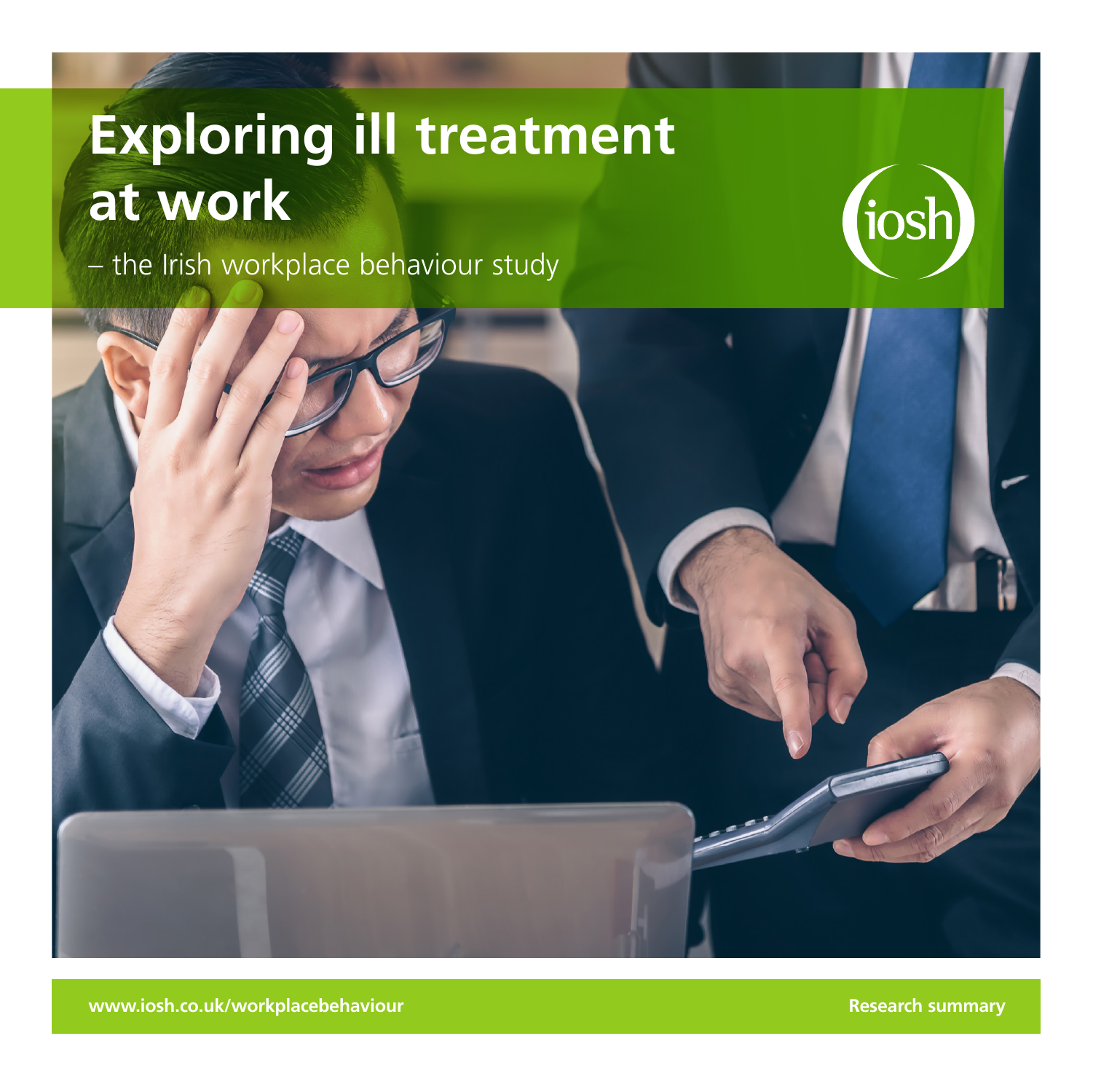# **Exploring ill treatment at work**

– the Irish workplace behaviour study



**www.iosh.co.uk/workplacebehaviour Research summary** and a strategy of the strategy of the strategy of the strategy of the strategy of the strategy of the strategy of the strategy of the strategy of the strategy of the str

tios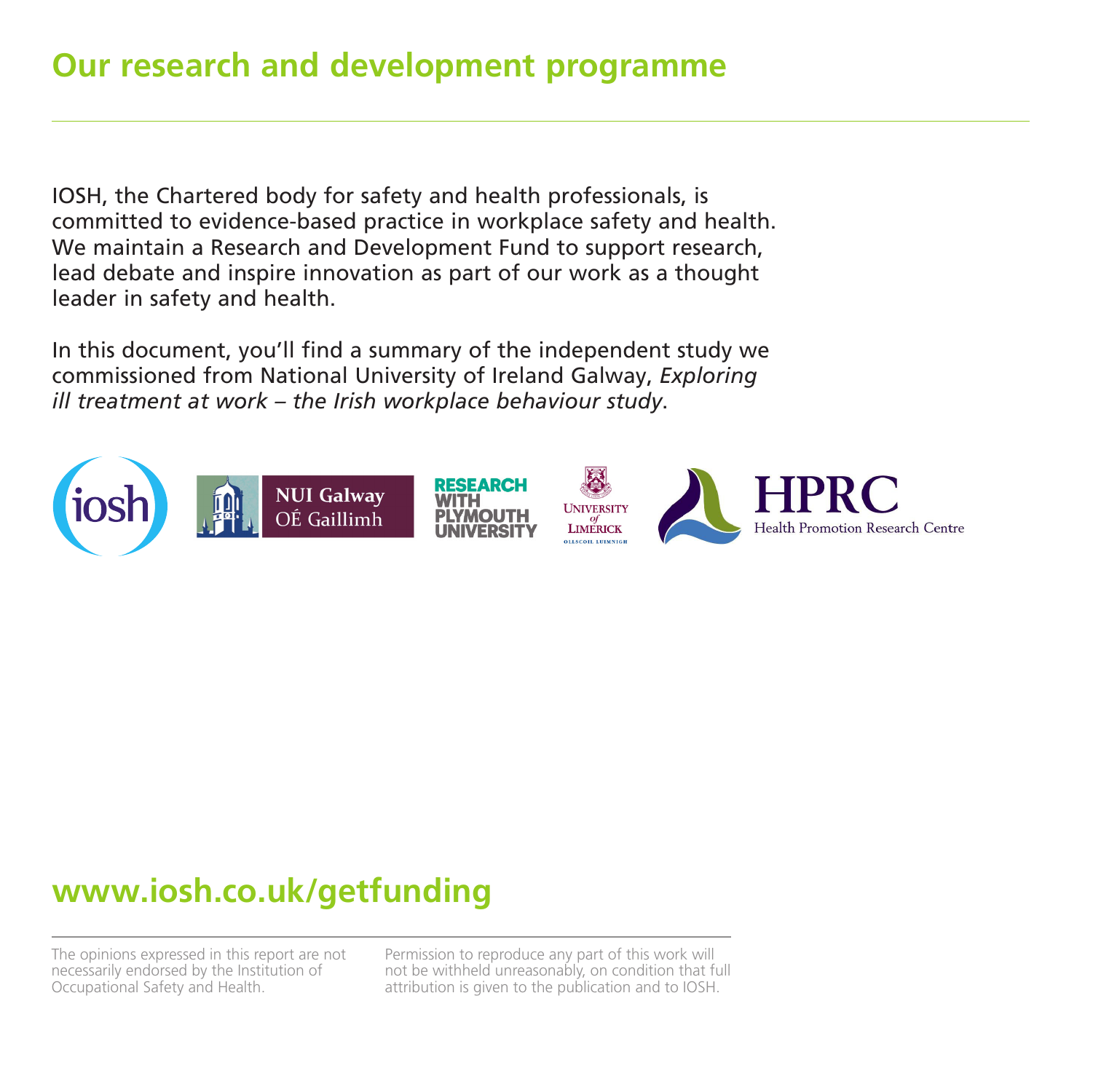IOSH, the Chartered body for safety and health professionals, is committed to evidence-based practice in workplace safety and health. We maintain a Research and Development Fund to support research, lead debate and inspire innovation as part of our work as a thought leader in safety and health.

In this document, you'll find a summary of the independent study we commissioned from National University of Ireland Galway, *Exploring ill treatment at work – the Irish workplace behaviour study*.



## **www.iosh.co.uk/getfunding**

The opinions expressed in this report are not necessarily endorsed by the Institution of Occupational Safety and Health.

Permission to reproduce any part of this work will not be withheld unreasonably, on condition that full attribution is given to the publication and to IOSH.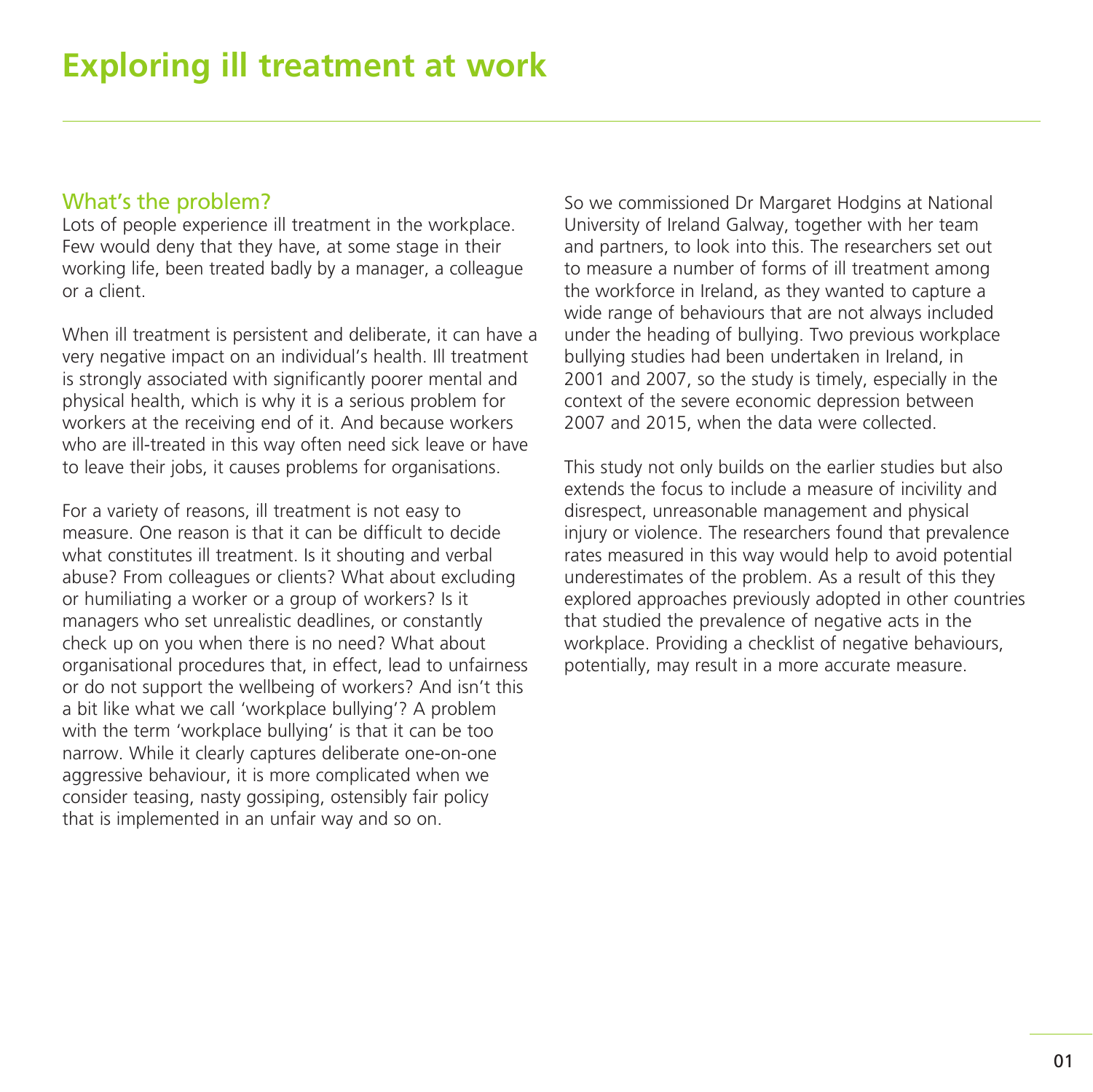### What's the problem?

Lots of people experience ill treatment in the workplace. Few would deny that they have, at some stage in their working life, been treated badly by a manager, a colleague or a client.

When ill treatment is persistent and deliberate, it can have a very negative impact on an individual's health. Ill treatment is strongly associated with significantly poorer mental and physical health, which is why it is a serious problem for workers at the receiving end of it. And because workers who are ill-treated in this way often need sick leave or have to leave their jobs, it causes problems for organisations.

For a variety of reasons, ill treatment is not easy to measure. One reason is that it can be difficult to decide what constitutes ill treatment. Is it shouting and verbal abuse? From colleagues or clients? What about excluding or humiliating a worker or a group of workers? Is it managers who set unrealistic deadlines, or constantly check up on you when there is no need? What about organisational procedures that, in effect, lead to unfairness or do not support the wellbeing of workers? And isn't this a bit like what we call 'workplace bullying'? A problem with the term 'workplace bullying' is that it can be too narrow. While it clearly captures deliberate one-on-one aggressive behaviour, it is more complicated when we consider teasing, nasty gossiping, ostensibly fair policy that is implemented in an unfair way and so on.

So we commissioned Dr Margaret Hodgins at National University of Ireland Galway, together with her team and partners, to look into this. The researchers set out to measure a number of forms of ill treatment among the workforce in Ireland, as they wanted to capture a wide range of behaviours that are not always included under the heading of bullying. Two previous workplace bullying studies had been undertaken in Ireland, in 2001 and 2007, so the study is timely, especially in the context of the severe economic depression between 2007 and 2015, when the data were collected.

This study not only builds on the earlier studies but also extends the focus to include a measure of incivility and disrespect, unreasonable management and physical injury or violence. The researchers found that prevalence rates measured in this way would help to avoid potential underestimates of the problem. As a result of this they explored approaches previously adopted in other countries that studied the prevalence of negative acts in the workplace. Providing a checklist of negative behaviours, potentially, may result in a more accurate measure.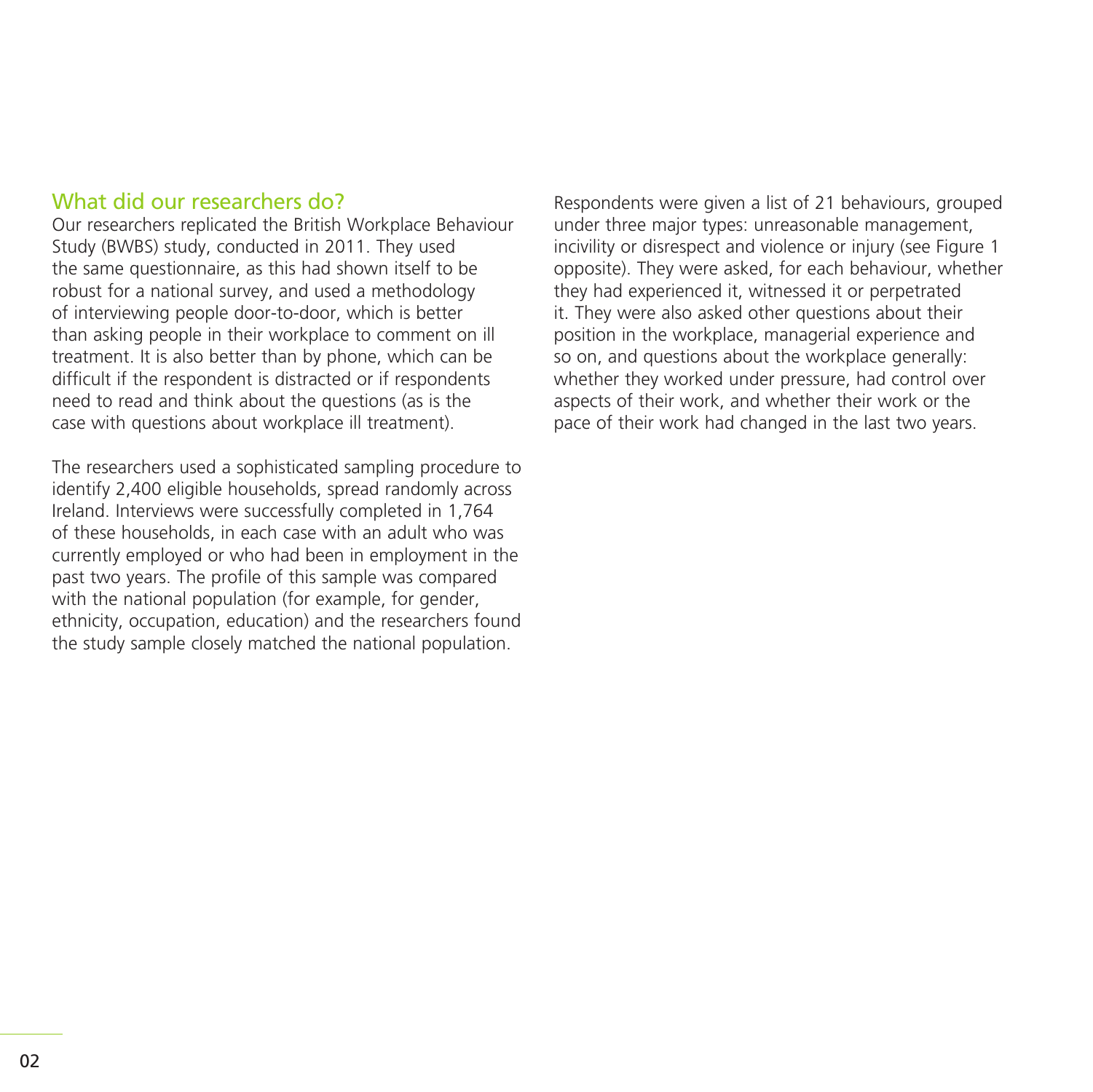### What did our researchers do?

Our researchers replicated the British Workplace Behaviour Study (BWBS) study, conducted in 2011. They used the same questionnaire, as this had shown itself to be robust for a national survey, and used a methodology of interviewing people door-to-door, which is better than asking people in their workplace to comment on ill treatment. It is also better than by phone, which can be difficult if the respondent is distracted or if respondents need to read and think about the questions (as is the case with questions about workplace ill treatment).

The researchers used a sophisticated sampling procedure to identify 2,400 eligible households, spread randomly across Ireland. Interviews were successfully completed in 1,764 of these households, in each case with an adult who was currently employed or who had been in employment in the past two years. The profile of this sample was compared with the national population (for example, for gender, ethnicity, occupation, education) and the researchers found the study sample closely matched the national population.

Respondents were given a list of 21 behaviours, grouped under three major types: unreasonable management, incivility or disrespect and violence or injury (see Figure 1 opposite). They were asked, for each behaviour, whether they had experienced it, witnessed it or perpetrated it. They were also asked other questions about their position in the workplace, managerial experience and so on, and questions about the workplace generally: whether they worked under pressure, had control over aspects of their work, and whether their work or the pace of their work had changed in the last two years.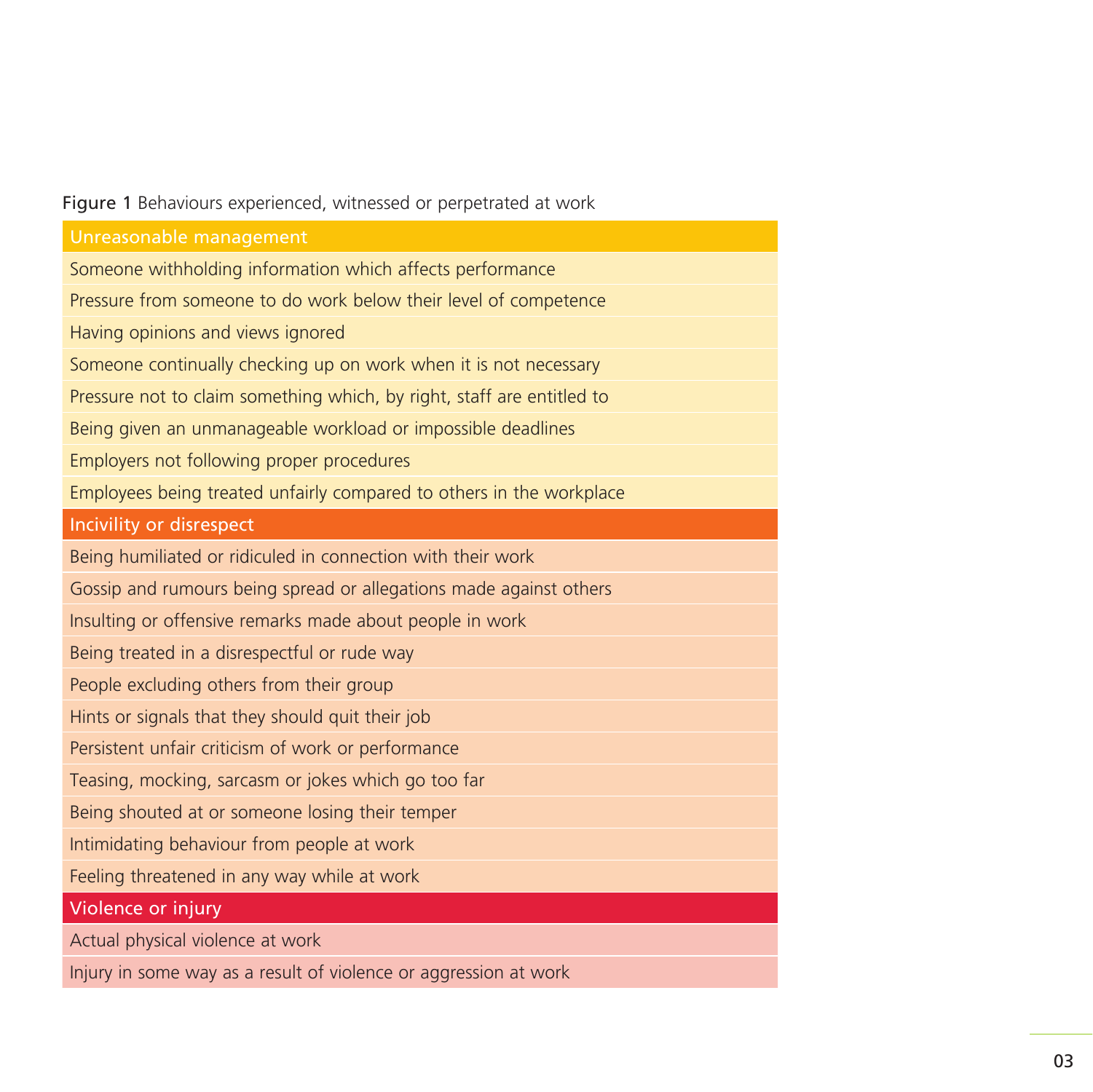### Figure 1 Behaviours experienced, witnessed or perpetrated at work

| Unreasonable management                                                |  |
|------------------------------------------------------------------------|--|
| Someone withholding information which affects performance              |  |
| Pressure from someone to do work below their level of competence       |  |
| Having opinions and views ignored                                      |  |
| Someone continually checking up on work when it is not necessary       |  |
| Pressure not to claim something which, by right, staff are entitled to |  |
| Being given an unmanageable workload or impossible deadlines           |  |
| Employers not following proper procedures                              |  |
| Employees being treated unfairly compared to others in the workplace   |  |
| Incivility or disrespect                                               |  |
| Being humiliated or ridiculed in connection with their work            |  |
| Gossip and rumours being spread or allegations made against others     |  |
| Insulting or offensive remarks made about people in work               |  |
| Being treated in a disrespectful or rude way                           |  |
| People excluding others from their group                               |  |
| Hints or signals that they should quit their job                       |  |
| Persistent unfair criticism of work or performance                     |  |
| Teasing, mocking, sarcasm or jokes which go too far                    |  |
| Being shouted at or someone losing their temper                        |  |
| Intimidating behaviour from people at work                             |  |
| Feeling threatened in any way while at work                            |  |
| Violence or injury                                                     |  |
| Actual physical violence at work                                       |  |
| Injury in some way as a result of violence or aggression at work       |  |

l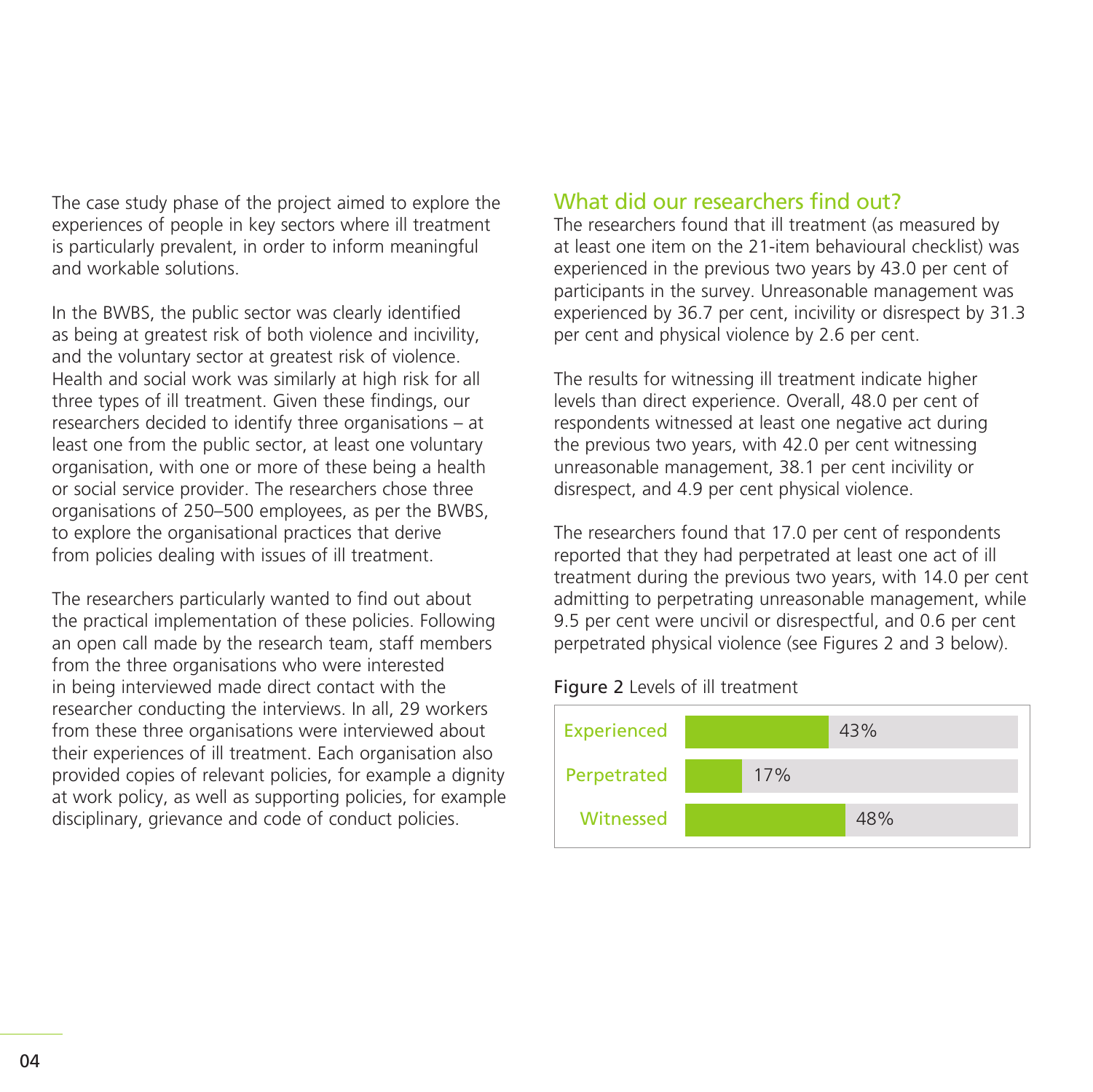The case study phase of the project aimed to explore the experiences of people in key sectors where ill treatment is particularly prevalent, in order to inform meaningful and workable solutions.

In the BWBS, the public sector was clearly identified as being at greatest risk of both violence and incivility, and the voluntary sector at greatest risk of violence. Health and social work was similarly at high risk for all three types of ill treatment. Given these findings, our researchers decided to identify three organisations – at least one from the public sector, at least one voluntary organisation, with one or more of these being a health or social service provider. The researchers chose three organisations of 250–500 employees, as per the BWBS, to explore the organisational practices that derive from policies dealing with issues of ill treatment.

The researchers particularly wanted to find out about the practical implementation of these policies. Following an open call made by the research team, staff members from the three organisations who were interested in being interviewed made direct contact with the researcher conducting the interviews. In all, 29 workers from these three organisations were interviewed about their experiences of ill treatment. Each organisation also provided copies of relevant policies, for example a dignity at work policy, as well as supporting policies, for example disciplinary, grievance and code of conduct policies.

### What did our researchers find out?

The researchers found that ill treatment (as measured by at least one item on the 21-item behavioural checklist) was experienced in the previous two years by 43.0 per cent of participants in the survey. Unreasonable management was experienced by 36.7 per cent, incivility or disrespect by 31.3 per cent and physical violence by 2.6 per cent.

The results for witnessing ill treatment indicate higher levels than direct experience. Overall, 48.0 per cent of respondents witnessed at least one negative act during the previous two years, with 42.0 per cent witnessing unreasonable management, 38.1 per cent incivility or disrespect, and 4.9 per cent physical violence.

The researchers found that 17.0 per cent of respondents reported that they had perpetrated at least one act of ill treatment during the previous two years, with 14.0 per cent admitting to perpetrating unreasonable management, while 9.5 per cent were uncivil or disrespectful, and 0.6 per cent perpetrated physical violence (see Figures 2 and 3 below).

### Figure 2 Levels of ill treatment

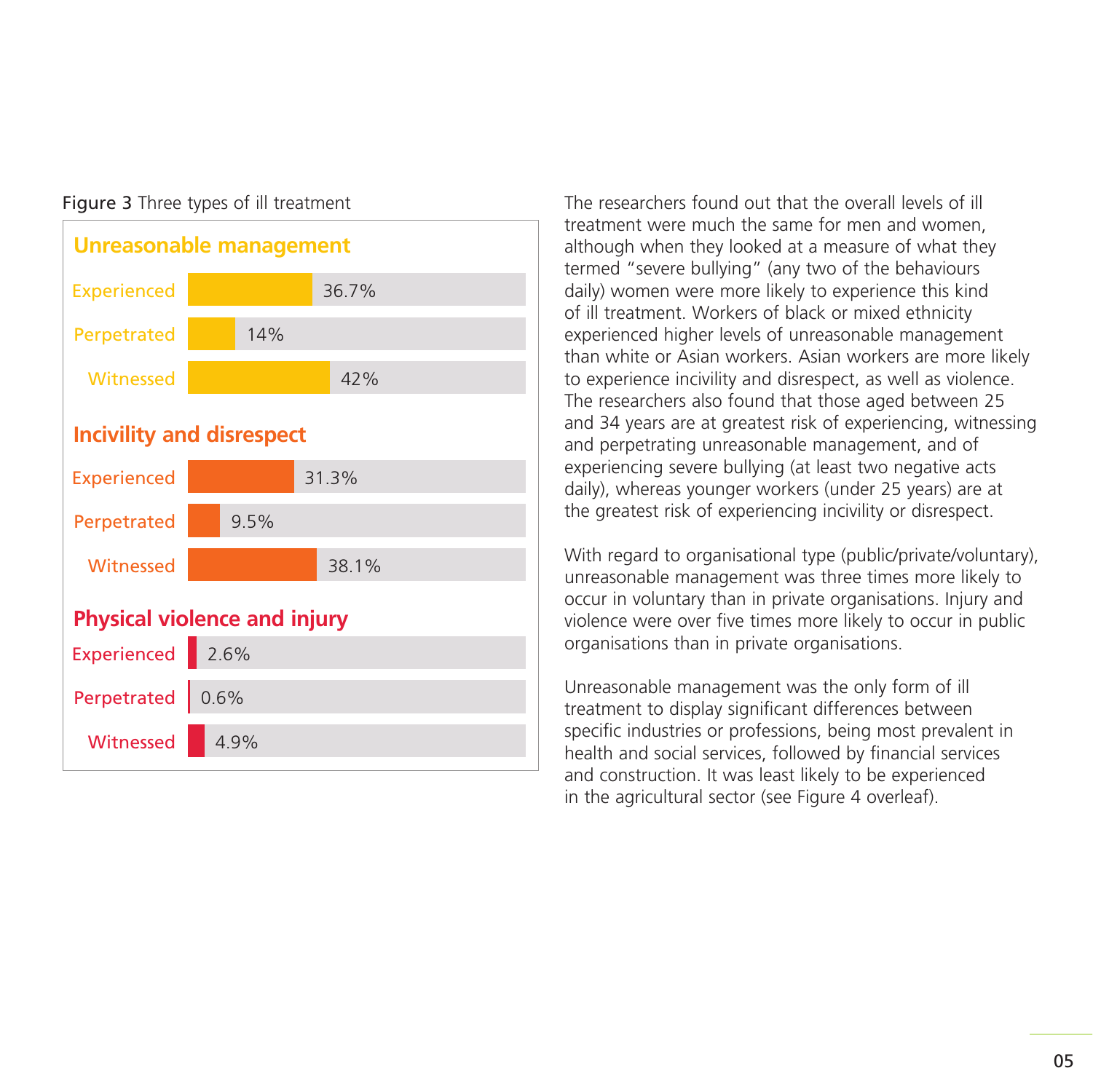

Figure 3 Three types of ill treatment The researchers found out that the overall levels of ill treatment were much the same for men and women, although when they looked at a measure of what they termed "severe bullying" (any two of the behaviours daily) women were more likely to experience this kind of ill treatment. Workers of black or mixed ethnicity experienced higher levels of unreasonable management than white or Asian workers. Asian workers are more likely to experience incivility and disrespect, as well as violence. The researchers also found that those aged between 25 and 34 years are at greatest risk of experiencing, witnessing and perpetrating unreasonable management, and of experiencing severe bullying (at least two negative acts daily), whereas younger workers (under 25 years) are at the greatest risk of experiencing incivility or disrespect.

> With regard to organisational type (public/private/voluntary), unreasonable management was three times more likely to occur in voluntary than in private organisations. Injury and violence were over five times more likely to occur in public organisations than in private organisations.

Unreasonable management was the only form of ill treatment to display significant differences between specific industries or professions, being most prevalent in health and social services, followed by financial services and construction. It was least likely to be experienced in the agricultural sector (see Figure 4 overleaf).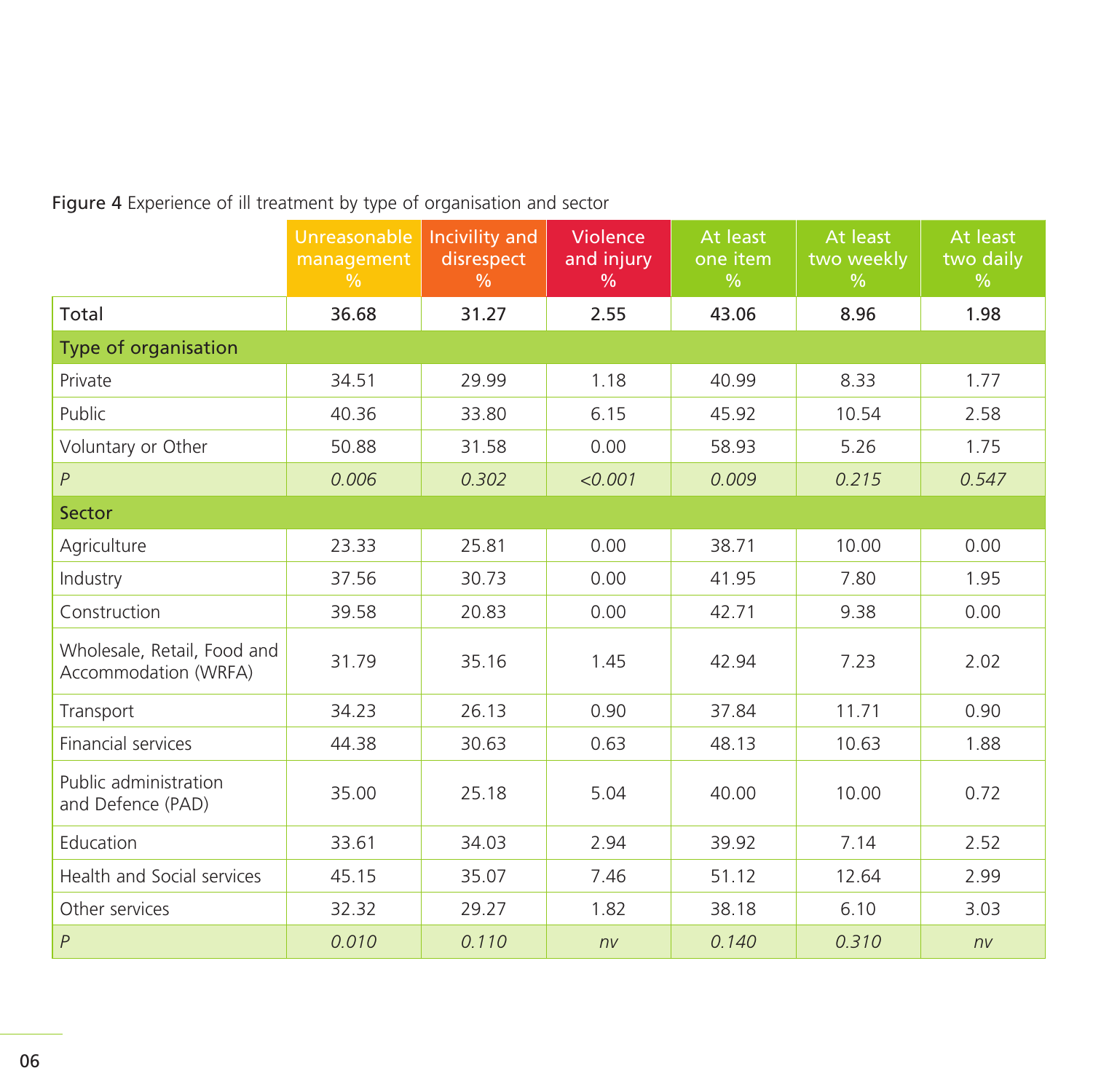Figure 4 Experience of ill treatment by type of organisation and sector

|                                                     | Unreasonable<br>management<br>$\frac{0}{0}$ | Incivility and<br>disrespect<br>$\frac{0}{0}$ | Violence<br>and injury<br>$\frac{0}{0}$ | At least<br>one item<br>$\frac{0}{0}$ | At least<br>two weekly<br>$\frac{9}{6}$ | At least<br>two daily<br>$\frac{9}{6}$ |  |  |
|-----------------------------------------------------|---------------------------------------------|-----------------------------------------------|-----------------------------------------|---------------------------------------|-----------------------------------------|----------------------------------------|--|--|
| Total                                               | 36.68                                       | 31.27                                         | 2.55                                    | 43.06                                 | 8.96                                    | 1.98                                   |  |  |
| Type of organisation                                |                                             |                                               |                                         |                                       |                                         |                                        |  |  |
| Private                                             | 34.51                                       | 29.99                                         | 1.18                                    | 40.99                                 | 8.33                                    | 1.77                                   |  |  |
| Public                                              | 40.36                                       | 33.80                                         | 6.15                                    | 45.92                                 | 10.54                                   | 2.58                                   |  |  |
| Voluntary or Other                                  | 50.88                                       | 31.58                                         | 0.00                                    | 58.93                                 | 5.26                                    | 1.75                                   |  |  |
| $\boldsymbol{P}$                                    | 0.006                                       | 0.302                                         | < 0.001                                 | 0.009                                 | 0.215                                   | 0.547                                  |  |  |
| Sector                                              |                                             |                                               |                                         |                                       |                                         |                                        |  |  |
| Agriculture                                         | 23.33                                       | 25.81                                         | 0.00                                    | 38.71                                 | 10.00                                   | 0.00                                   |  |  |
| Industry                                            | 37.56                                       | 30.73                                         | 0.00                                    | 41.95                                 | 7.80                                    | 1.95                                   |  |  |
| Construction                                        | 39.58                                       | 20.83                                         | 0.00                                    | 42.71                                 | 9.38                                    | 0.00                                   |  |  |
| Wholesale, Retail, Food and<br>Accommodation (WRFA) | 31.79                                       | 35.16                                         | 1.45                                    | 42.94                                 | 7.23                                    | 2.02                                   |  |  |
| Transport                                           | 34.23                                       | 26.13                                         | 0.90                                    | 37.84                                 | 11.71                                   | 0.90                                   |  |  |
| Financial services                                  | 44.38                                       | 30.63                                         | 0.63                                    | 48.13                                 | 10.63                                   | 1.88                                   |  |  |
| Public administration<br>and Defence (PAD)          | 35.00                                       | 25.18                                         | 5.04                                    | 40.00                                 | 10.00                                   | 0.72                                   |  |  |
| Education                                           | 33.61                                       | 34.03                                         | 2.94                                    | 39.92                                 | 7.14                                    | 2.52                                   |  |  |
| Health and Social services                          | 45.15                                       | 35.07                                         | 7.46                                    | 51.12                                 | 12.64                                   | 2.99                                   |  |  |
| Other services                                      | 32.32                                       | 29.27                                         | 1.82                                    | 38.18                                 | 6.10                                    | 3.03                                   |  |  |
| $\overline{P}$                                      | 0.010                                       | 0.110                                         | nv                                      | 0.140                                 | 0.310                                   | nv                                     |  |  |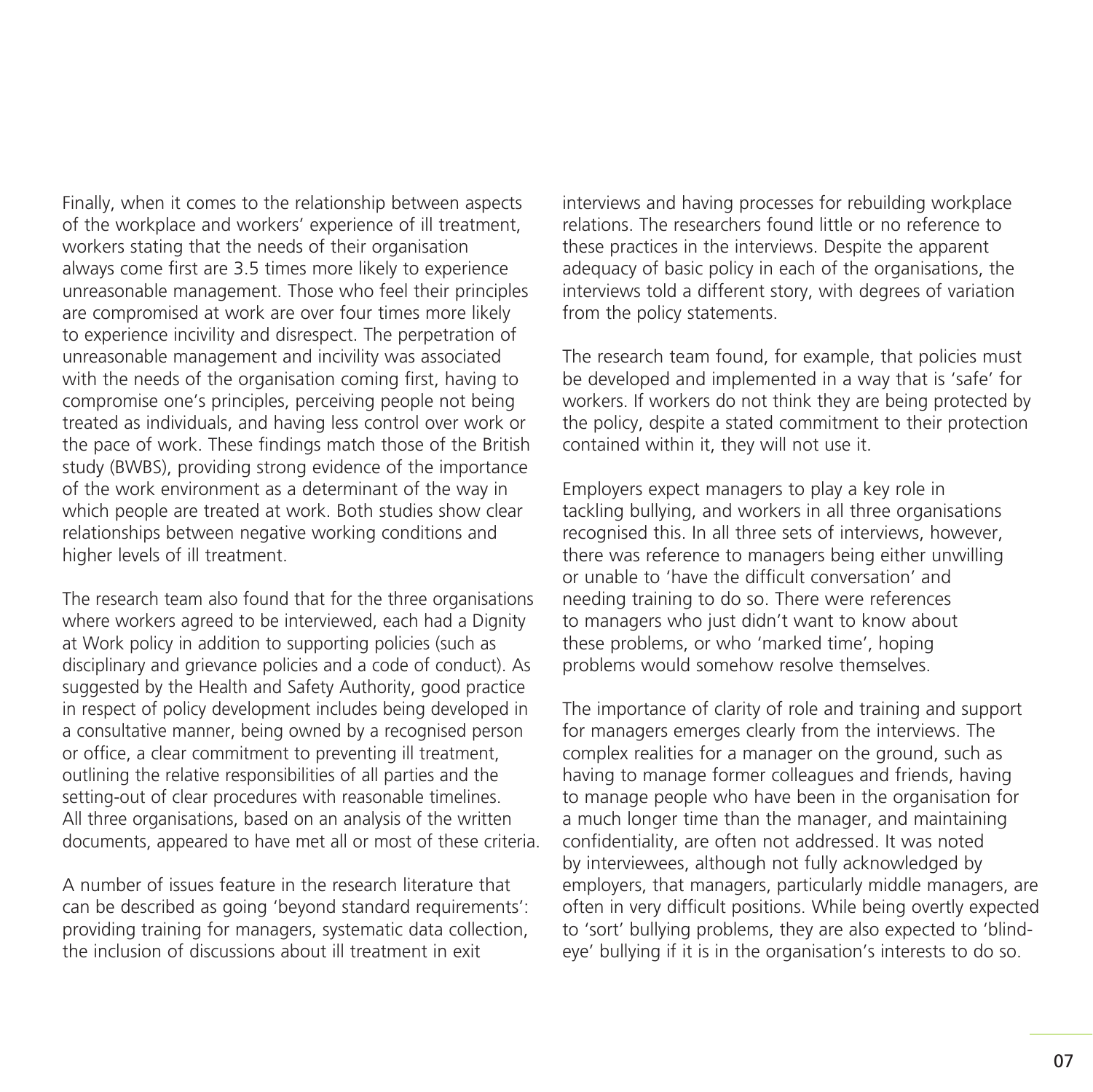Finally, when it comes to the relationship between aspects of the workplace and workers' experience of ill treatment, workers stating that the needs of their organisation always come first are 3.5 times more likely to experience unreasonable management. Those who feel their principles are compromised at work are over four times more likely to experience incivility and disrespect. The perpetration of unreasonable management and incivility was associated with the needs of the organisation coming first, having to compromise one's principles, perceiving people not being treated as individuals, and having less control over work or the pace of work. These findings match those of the British study (BWBS), providing strong evidence of the importance of the work environment as a determinant of the way in which people are treated at work. Both studies show clear relationships between negative working conditions and higher levels of ill treatment.

The research team also found that for the three organisations where workers agreed to be interviewed, each had a Dignity at Work policy in addition to supporting policies (such as disciplinary and grievance policies and a code of conduct). As suggested by the Health and Safety Authority, good practice in respect of policy development includes being developed in a consultative manner, being owned by a recognised person or office, a clear commitment to preventing ill treatment, outlining the relative responsibilities of all parties and the setting-out of clear procedures with reasonable timelines. All three organisations, based on an analysis of the written documents, appeared to have met all or most of these criteria.

A number of issues feature in the research literature that can be described as going 'beyond standard requirements': providing training for managers, systematic data collection, the inclusion of discussions about ill treatment in exit

interviews and having processes for rebuilding workplace relations. The researchers found little or no reference to these practices in the interviews. Despite the apparent adequacy of basic policy in each of the organisations, the interviews told a different story, with degrees of variation from the policy statements.

The research team found, for example, that policies must be developed and implemented in a way that is 'safe' for workers. If workers do not think they are being protected by the policy, despite a stated commitment to their protection contained within it, they will not use it.

Employers expect managers to play a key role in tackling bullying, and workers in all three organisations recognised this. In all three sets of interviews, however, there was reference to managers being either unwilling or unable to 'have the difficult conversation' and needing training to do so. There were references to managers who just didn't want to know about these problems, or who 'marked time', hoping problems would somehow resolve themselves.

The importance of clarity of role and training and support for managers emerges clearly from the interviews. The complex realities for a manager on the ground, such as having to manage former colleagues and friends, having to manage people who have been in the organisation for a much longer time than the manager, and maintaining confidentiality, are often not addressed. It was noted by interviewees, although not fully acknowledged by employers, that managers, particularly middle managers, are often in very difficult positions. While being overtly expected to 'sort' bullying problems, they are also expected to 'blindeye' bullying if it is in the organisation's interests to do so.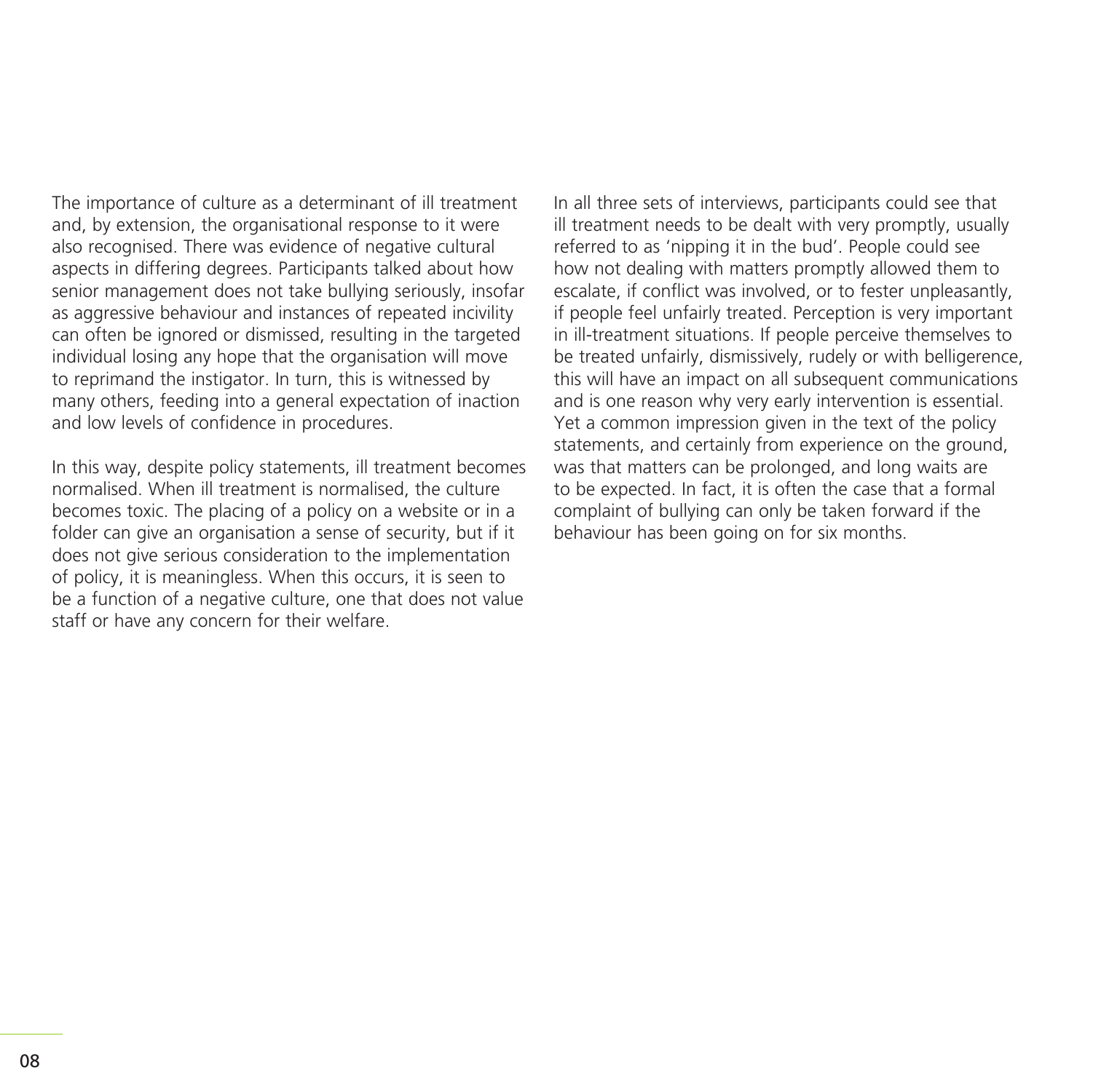The importance of culture as a determinant of ill treatment and, by extension, the organisational response to it were also recognised. There was evidence of negative cultural aspects in differing degrees. Participants talked about how senior management does not take bullying seriously, insofar as aggressive behaviour and instances of repeated incivility can often be ignored or dismissed, resulting in the targeted individual losing any hope that the organisation will move to reprimand the instigator. In turn, this is witnessed by many others, feeding into a general expectation of inaction and low levels of confidence in procedures.

In this way, despite policy statements, ill treatment becomes normalised. When ill treatment is normalised, the culture becomes toxic. The placing of a policy on a website or in a folder can give an organisation a sense of security, but if it does not give serious consideration to the implementation of policy, it is meaningless. When this occurs, it is seen to be a function of a negative culture, one that does not value staff or have any concern for their welfare.

In all three sets of interviews, participants could see that ill treatment needs to be dealt with very promptly, usually referred to as 'nipping it in the bud'. People could see how not dealing with matters promptly allowed them to escalate, if conflict was involved, or to fester unpleasantly, if people feel unfairly treated. Perception is very important in ill-treatment situations. If people perceive themselves to be treated unfairly, dismissively, rudely or with belligerence, this will have an impact on all subsequent communications and is one reason why very early intervention is essential. Yet a common impression given in the text of the policy statements, and certainly from experience on the ground, was that matters can be prolonged, and long waits are to be expected. In fact, it is often the case that a formal complaint of bullying can only be taken forward if the behaviour has been going on for six months.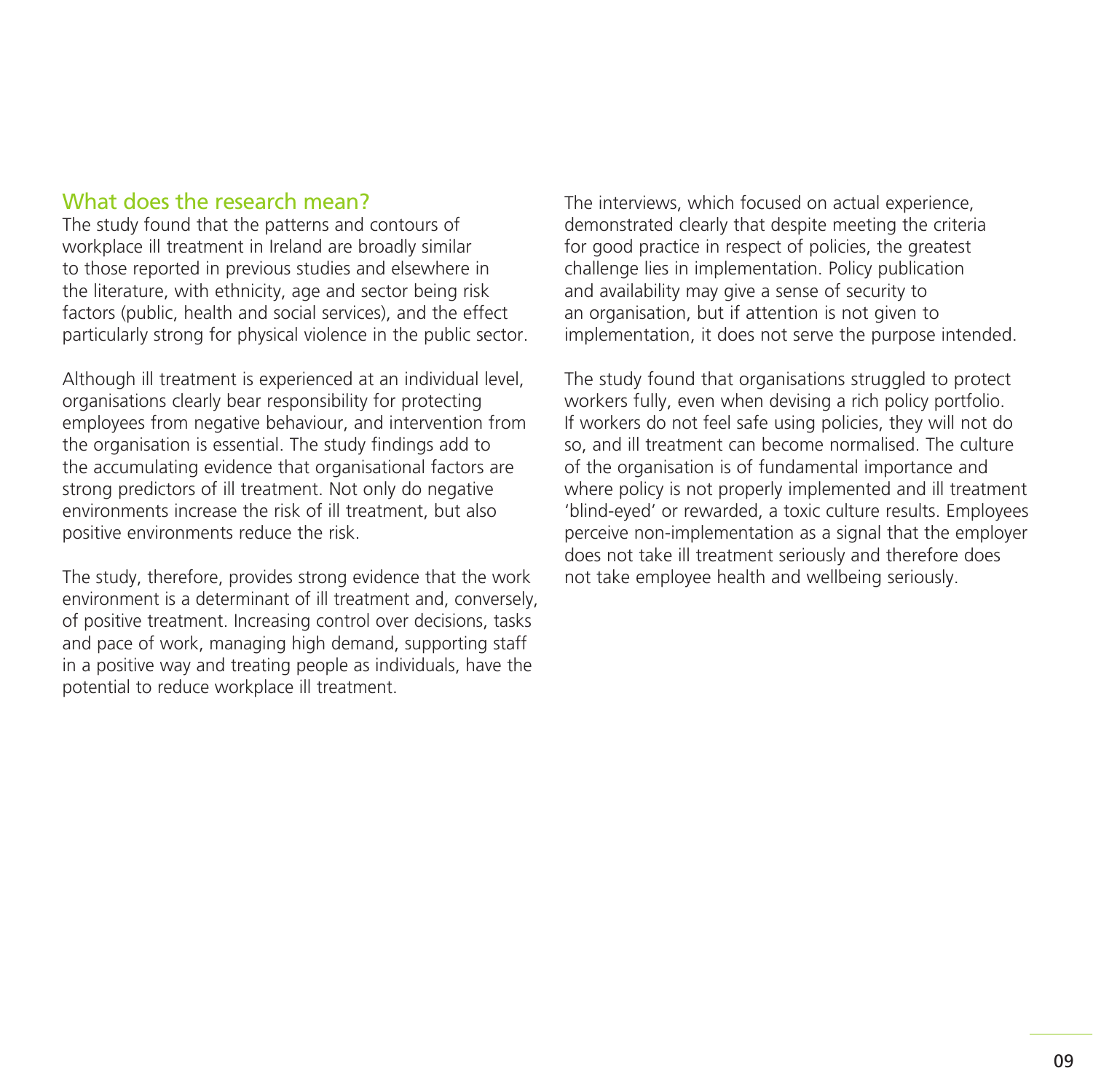### What does the research mean?

The study found that the patterns and contours of workplace ill treatment in Ireland are broadly similar to those reported in previous studies and elsewhere in the literature, with ethnicity, age and sector being risk factors (public, health and social services), and the effect particularly strong for physical violence in the public sector.

Although ill treatment is experienced at an individual level, organisations clearly bear responsibility for protecting employees from negative behaviour, and intervention from the organisation is essential. The study findings add to the accumulating evidence that organisational factors are strong predictors of ill treatment. Not only do negative environments increase the risk of ill treatment, but also positive environments reduce the risk.

The study, therefore, provides strong evidence that the work environment is a determinant of ill treatment and, conversely, of positive treatment. Increasing control over decisions, tasks and pace of work, managing high demand, supporting staff in a positive way and treating people as individuals, have the potential to reduce workplace ill treatment.

The interviews, which focused on actual experience, demonstrated clearly that despite meeting the criteria for good practice in respect of policies, the greatest challenge lies in implementation. Policy publication and availability may give a sense of security to an organisation, but if attention is not given to implementation, it does not serve the purpose intended.

The study found that organisations struggled to protect workers fully, even when devising a rich policy portfolio. If workers do not feel safe using policies, they will not do so, and ill treatment can become normalised. The culture of the organisation is of fundamental importance and where policy is not properly implemented and ill treatment 'blind-eyed' or rewarded, a toxic culture results. Employees perceive non-implementation as a signal that the employer does not take ill treatment seriously and therefore does not take employee health and wellbeing seriously.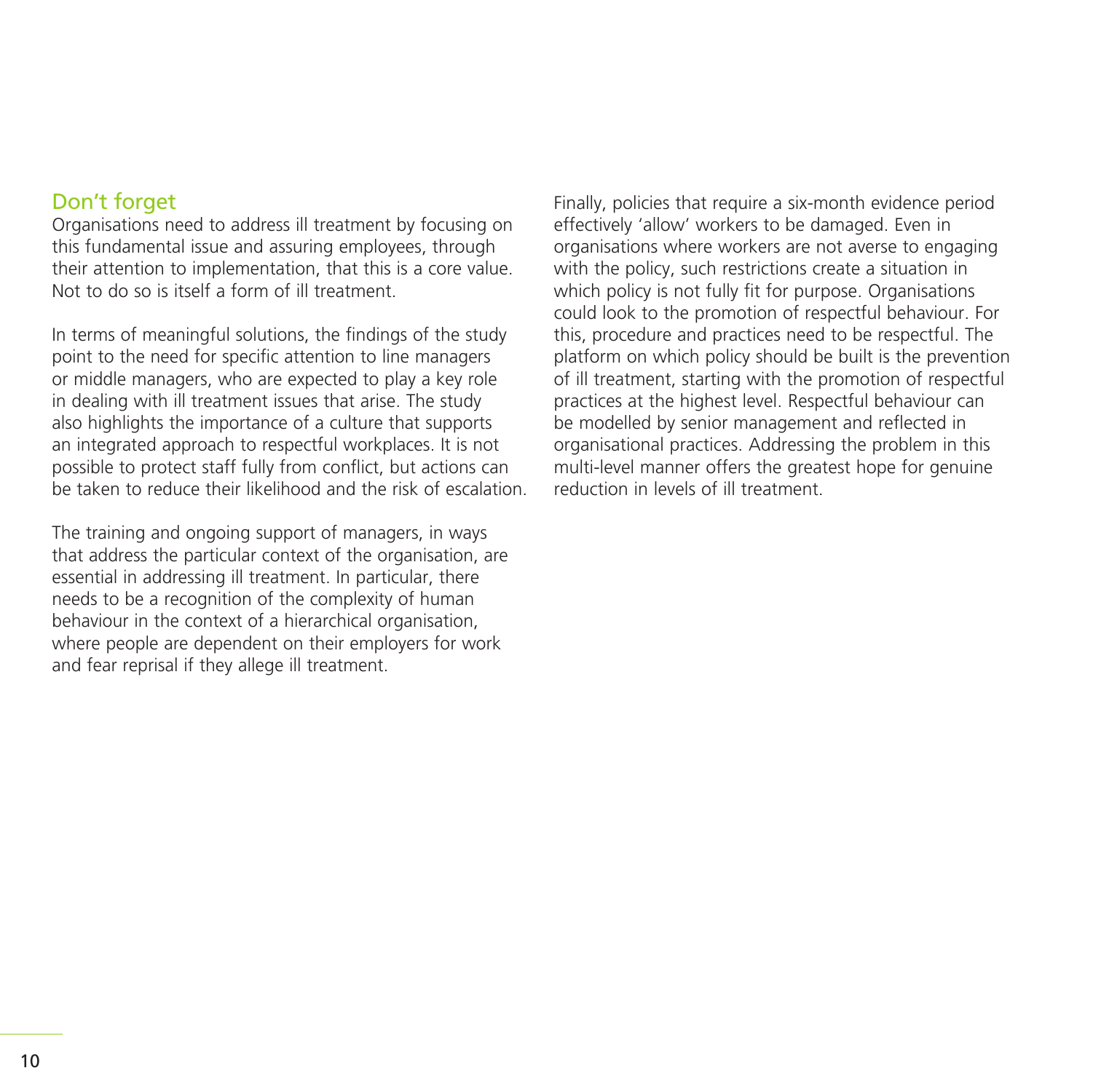### Don't forget

Organisations need to address ill treatment by focusing on this fundamental issue and assuring employees, through their attention to implementation, that this is a core value. Not to do so is itself a form of ill treatment.

In terms of meaningful solutions, the findings of the study point to the need for specific attention to line managers or middle managers, who are expected to play a key role in dealing with ill treatment issues that arise. The study also highlights the importance of a culture that supports an integrated approach to respectful workplaces. It is not possible to protect staff fully from conflict, but actions can be taken to reduce their likelihood and the risk of escalation.

The training and ongoing support of managers, in ways that address the particular context of the organisation, are essential in addressing ill treatment. In particular, there needs to be a recognition of the complexity of human behaviour in the context of a hierarchical organisation, where people are dependent on their employers for work and fear reprisal if they allege ill treatment.

Finally, policies that require a six-month evidence period effectively 'allow' workers to be damaged. Even in organisations where workers are not averse to engaging with the policy, such restrictions create a situation in which policy is not fully fit for purpose. Organisations could look to the promotion of respectful behaviour. For this, procedure and practices need to be respectful. The platform on which policy should be built is the prevention of ill treatment, starting with the promotion of respectful practices at the highest level. Respectful behaviour can be modelled by senior management and reflected in organisational practices. Addressing the problem in this multi-level manner offers the greatest hope for genuine reduction in levels of ill treatment.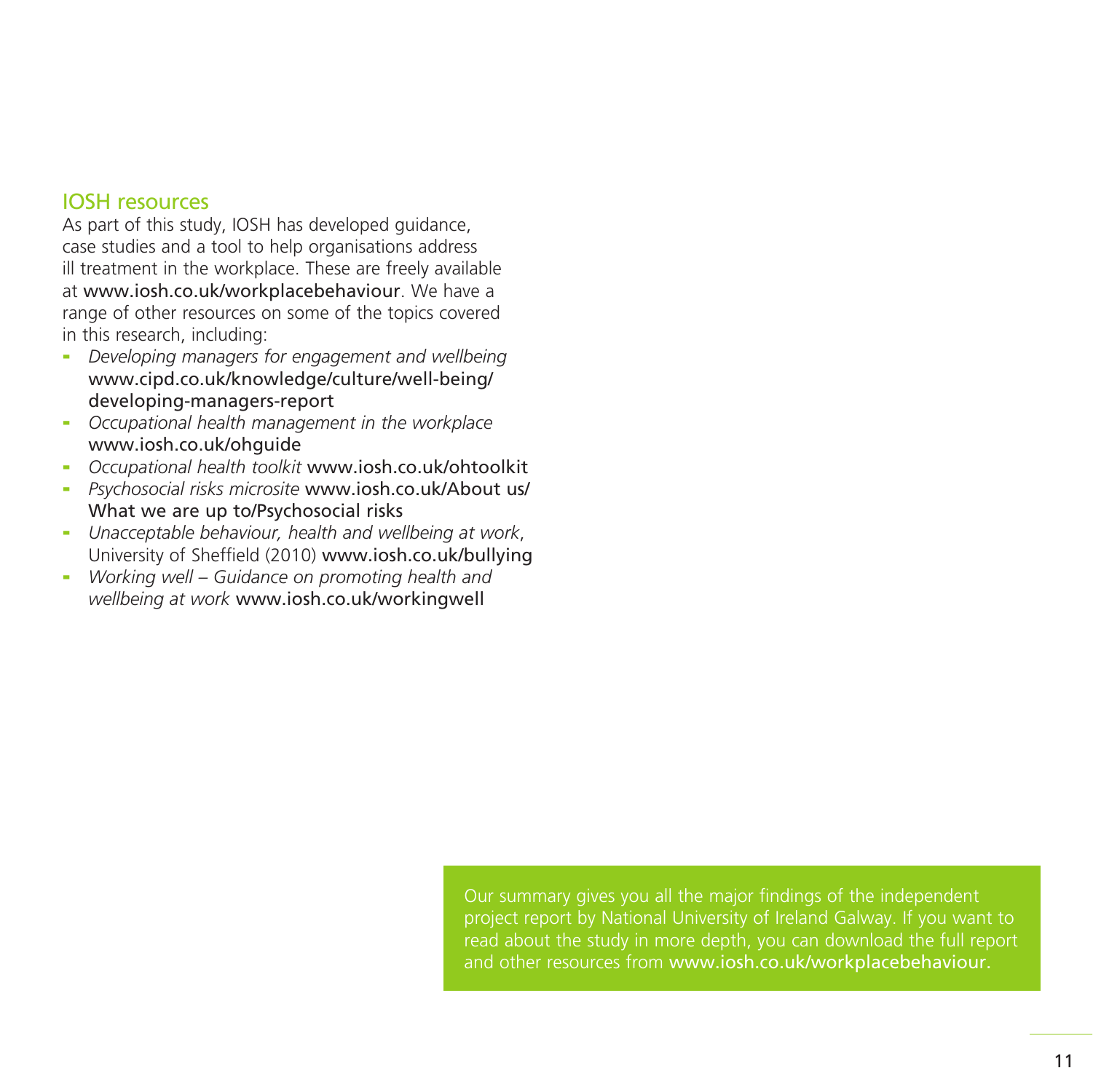### IOSH resources

As part of this study, IOSH has developed guidance, case studies and a tool to help organisations address ill treatment in the workplace. These are freely available at www.iosh.co.uk/workplacebehaviour. We have a range of other resources on some of the topics covered in this research, including:

- *Developing managers for engagement and wellbeing* www.cipd.co.uk/knowledge/culture/well-being/ developing-managers-report
- *Occupational health management in the workplace*  www.iosh.co.uk/ohguide
- *Occupational health toolkit* www.iosh.co.uk/ohtoolkit
- *Psychosocial risks microsite* www.iosh.co.uk/About us/ What we are up to/Psychosocial risks
- *Unacceptable behaviour, health and wellbeing at work*, University of Sheffield (2010) www.iosh.co.uk/bullying
- *Working well Guidance on promoting health and wellbeing at work* www.iosh.co.uk/workingwell

Our summary gives you all the major findings of the independent project report by National University of Ireland Galway. If you want to read about the study in more depth, you can download the full report and other resources from www.iosh.co.uk/workplacebehaviour.